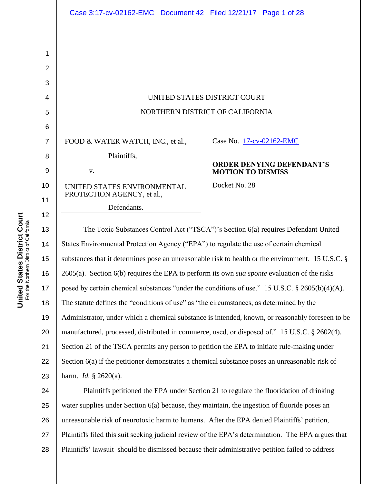|                | Case 3:17-cv-02162-EMC  Document 42  Filed 12/21/17  Page 1 of 28                      |                                                                                    |
|----------------|----------------------------------------------------------------------------------------|------------------------------------------------------------------------------------|
|                |                                                                                        |                                                                                    |
|                |                                                                                        |                                                                                    |
| 1              |                                                                                        |                                                                                    |
| $\overline{2}$ |                                                                                        |                                                                                    |
| 3              |                                                                                        |                                                                                    |
| 4              | UNITED STATES DISTRICT COURT                                                           |                                                                                    |
| 5              | NORTHERN DISTRICT OF CALIFORNIA                                                        |                                                                                    |
| 6              |                                                                                        |                                                                                    |
| $\overline{7}$ | FOOD & WATER WATCH, INC., et al.,                                                      | Case No. 17-cv-02162-EMC                                                           |
| 8              | Plaintiffs,                                                                            |                                                                                    |
| $\overline{9}$ | V.                                                                                     | <b>ORDER DENYING DEFENDANT'S</b><br><b>MOTION TO DISMISS</b>                       |
| 10<br>11       | UNITED STATES ENVIRONMENTAL<br>PROTECTION AGENCY, et al.,                              | Docket No. 28                                                                      |
|                | Defendants.                                                                            |                                                                                    |
| 12<br>13<br>14 | States Environmental Protection Agency ("EPA") to regulate the use of certain chemical | The Toxic Substances Control Act ("TSCA")'s Section 6(a) requires Defendant United |

14 15 16 17 18 19 20 21 22 23 substances that it determines pose an unreasonable risk to health or the environment. 15 U.S.C. § 2605(a). Section 6(b) requires the EPA to perform its own *sua sponte* evaluation of the risks posed by certain chemical substances "under the conditions of use." 15 U.S.C. § 2605(b)(4)(A). The statute defines the "conditions of use" as "the circumstances, as determined by the Administrator, under which a chemical substance is intended, known, or reasonably foreseen to be manufactured, processed, distributed in commerce, used, or disposed of." 15 U.S.C. § 2602(4). Section 21 of the TSCA permits any person to petition the EPA to initiate rule-making under Section 6(a) if the petitioner demonstrates a chemical substance poses an unreasonable risk of harm. *Id.* § 2620(a).

24 25 26 27 28 Plaintiffs petitioned the EPA under Section 21 to regulate the fluoridation of drinking water supplies under Section 6(a) because, they maintain, the ingestion of fluoride poses an unreasonable risk of neurotoxic harm to humans. After the EPA denied Plaintiffs" petition, Plaintiffs filed this suit seeking judicial review of the EPA"s determination. The EPA argues that Plaintiffs' lawsuit should be dismissed because their administrative petition failed to address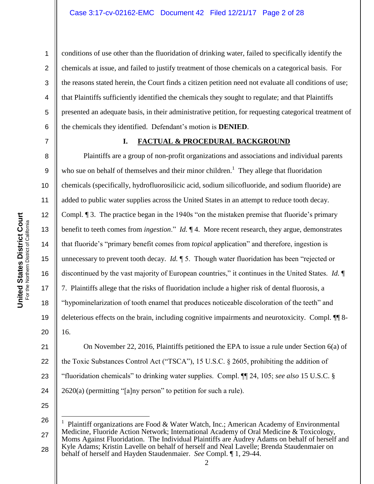2 3 4 5 6 conditions of use other than the fluoridation of drinking water, failed to specifically identify the chemicals at issue, and failed to justify treatment of those chemicals on a categorical basis. For the reasons stated herein, the Court finds a citizen petition need not evaluate all conditions of use; that Plaintiffs sufficiently identified the chemicals they sought to regulate; and that Plaintiffs presented an adequate basis, in their administrative petition, for requesting categorical treatment of the chemicals they identified. Defendant"s motion is **DENIED**.

7

8

9

10

11

12

13

14

15

**United States District Court**

United States District Court

16

17

18

19

20

1

#### **I. FACTUAL & PROCEDURAL BACKGROUND**

Plaintiffs are a group of non-profit organizations and associations and individual parents who sue on behalf of themselves and their minor children.<sup>1</sup> They allege that fluoridation chemicals (specifically, hydrofluorosilicic acid, sodium silicofluoride, and sodium fluoride) are added to public water supplies across the United States in an attempt to reduce tooth decay. Compl. ¶ 3. The practice began in the 1940s "on the mistaken premise that fluoride"s primary benefit to teeth comes from *ingestion*." *Id.* ¶ 4. More recent research, they argue, demonstrates that fluoride"s "primary benefit comes from *topical* application" and therefore, ingestion is unnecessary to prevent tooth decay. *Id.*  $\parallel$  5. Though water fluoridation has been "rejected or discontinued by the vast majority of European countries," it continues in the United States. *Id.* ¶ 7. Plaintiffs allege that the risks of fluoridation include a higher risk of dental fluorosis, a "hypominelarization of tooth enamel that produces noticeable discoloration of the teeth" and deleterious effects on the brain, including cognitive impairments and neurotoxicity. Compl. ¶¶ 8- 16.

21 22 23 24 On November 22, 2016, Plaintiffs petitioned the EPA to issue a rule under Section 6(a) of the Toxic Substances Control Act ("TSCA"), 15 U.S.C. § 2605, prohibiting the addition of "fluoridation chemicals" to drinking water supplies. Compl. ¶¶ 24, 105; *see also* 15 U.S.C. § 2620(a) (permitting "[a]ny person" to petition for such a rule).

25

 $\overline{a}$ 

<sup>26</sup> 27 28 1 Plaintiff organizations are Food & Water Watch, Inc.; American Academy of Environmental Medicine, Fluoride Action Network; International Academy of Oral Medicine & Toxicology, Moms Against Fluoridation. The Individual Plaintiffs are Audrey Adams on behalf of herself and Kyle Adams; Kristin Lavelle on behalf of herself and Neal Lavelle; Brenda Staudenmaier on behalf of herself and Hayden Staudenmaier. *See* Compl. ¶ 1, 29-44.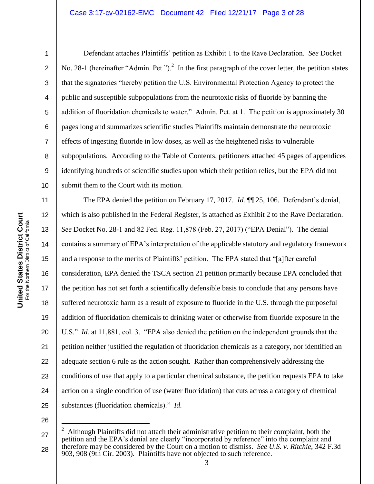1

2

3

4

5

6

7

8

9

10

Defendant attaches Plaintiffs" petition as Exhibit 1 to the Rave Declaration. *See* Docket No. 28-1 (hereinafter "Admin. Pet.").<sup>2</sup> In the first paragraph of the cover letter, the petition states that the signatories "hereby petition the U.S. Environmental Protection Agency to protect the public and susceptible subpopulations from the neurotoxic risks of fluoride by banning the addition of fluoridation chemicals to water." Admin. Pet. at 1. The petition is approximately 30 pages long and summarizes scientific studies Plaintiffs maintain demonstrate the neurotoxic effects of ingesting fluoride in low doses, as well as the heightened risks to vulnerable subpopulations. According to the Table of Contents, petitioners attached 45 pages of appendices identifying hundreds of scientific studies upon which their petition relies, but the EPA did not submit them to the Court with its motion.

11 12 13 14 15 16 17 18 19 20 21 22 23 24 25 The EPA denied the petition on February 17, 2017. *Id.* **[1]** 25, 106. Defendant's denial, which is also published in the Federal Register, is attached as Exhibit 2 to the Rave Declaration. *See* Docket No. 28-1 and 82 Fed. Reg. 11,878 (Feb. 27, 2017) ("EPA Denial"). The denial contains a summary of EPA"s interpretation of the applicable statutory and regulatory framework and a response to the merits of Plaintiffs" petition. The EPA stated that "[a]fter careful consideration, EPA denied the TSCA section 21 petition primarily because EPA concluded that the petition has not set forth a scientifically defensible basis to conclude that any persons have suffered neurotoxic harm as a result of exposure to fluoride in the U.S. through the purposeful addition of fluoridation chemicals to drinking water or otherwise from fluoride exposure in the U.S." *Id.* at 11,881, col. 3. "EPA also denied the petition on the independent grounds that the petition neither justified the regulation of fluoridation chemicals as a category, nor identified an adequate section 6 rule as the action sought. Rather than comprehensively addressing the conditions of use that apply to a particular chemical substance, the petition requests EPA to take action on a single condition of use (water fluoridation) that cuts across a category of chemical substances (fluoridation chemicals)." *Id.*

26

 $\overline{a}$ 

<sup>27</sup> 28 2 Although Plaintiffs did not attach their administrative petition to their complaint, both the petition and the EPA"s denial are clearly "incorporated by reference" into the complaint and therefore may be considered by the Court on a motion to dismiss. *See U.S. v. Ritchie*, 342 F.3d 903, 908 (9th Cir. 2003). Plaintiffs have not objected to such reference.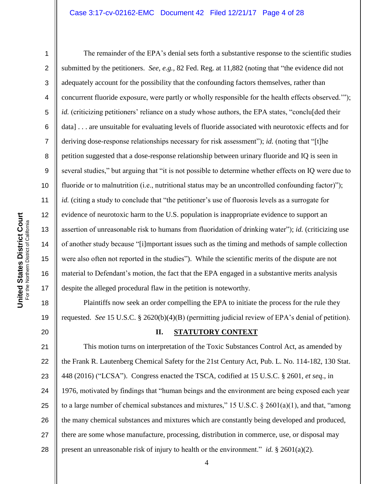1

2

3

4

5

6

7

8

9

10

11

12

13

14

15

16

17

18

19

20

The remainder of the EPA's denial sets forth a substantive response to the scientific studies submitted by the petitioners. *See, e.g.,* 82 Fed. Reg. at 11,882 (noting that "the evidence did not adequately account for the possibility that the confounding factors themselves, rather than concurrent fluoride exposure, were partly or wholly responsible for the health effects observed.""); *id.* (criticizing petitioners' reliance on a study whose authors, the EPA states, "conclu[ded their data] . . . are unsuitable for evaluating levels of fluoride associated with neurotoxic effects and for deriving dose-response relationships necessary for risk assessment"); *id.* (noting that "[t]he petition suggested that a dose-response relationship between urinary fluoride and IQ is seen in several studies," but arguing that "it is not possible to determine whether effects on IQ were due to fluoride or to malnutrition (i.e., nutritional status may be an uncontrolled confounding factor)"); *id.* (citing a study to conclude that "the petitioner's use of fluorosis levels as a surrogate for evidence of neurotoxic harm to the U.S. population is inappropriate evidence to support an assertion of unreasonable risk to humans from fluoridation of drinking water"); *id.* (criticizing use of another study because "[i]mportant issues such as the timing and methods of sample collection were also often not reported in the studies"). While the scientific merits of the dispute are not material to Defendant's motion, the fact that the EPA engaged in a substantive merits analysis despite the alleged procedural flaw in the petition is noteworthy.

Plaintiffs now seek an order compelling the EPA to initiate the process for the rule they requested. *See* 15 U.S.C. § 2620(b)(4)(B) (permitting judicial review of EPA"s denial of petition).

#### **II. STATUTORY CONTEXT**

21 22 23 24 25 26 27 28 This motion turns on interpretation of the Toxic Substances Control Act, as amended by the Frank R. Lautenberg Chemical Safety for the 21st Century Act, Pub. L. No. 114-182, 130 Stat. 448 (2016) ("LCSA"). Congress enacted the TSCA, codified at 15 U.S.C. § 2601, *et seq.*, in 1976, motivated by findings that "human beings and the environment are being exposed each year to a large number of chemical substances and mixtures," 15 U.S.C. § 2601(a)(1), and that, "among the many chemical substances and mixtures which are constantly being developed and produced, there are some whose manufacture, processing, distribution in commerce, use, or disposal may present an unreasonable risk of injury to health or the environment." *id.* § 2601(a)(2).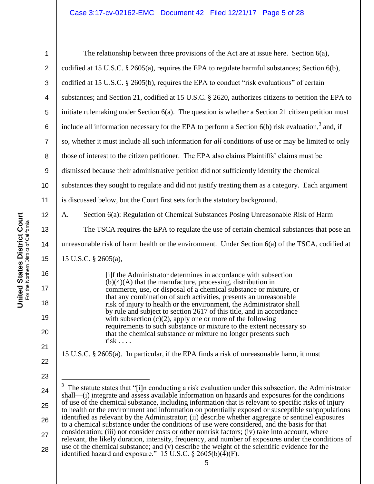28

| 1              | The relationship between three provisions of the Act are at issue here. Section $6(a)$ ,                                                                                                                          |
|----------------|-------------------------------------------------------------------------------------------------------------------------------------------------------------------------------------------------------------------|
| $\overline{2}$ | codified at 15 U.S.C. $\S$ 2605(a), requires the EPA to regulate harmful substances; Section 6(b),                                                                                                                |
| 3              | codified at 15 U.S.C. § 2605(b), requires the EPA to conduct "risk evaluations" of certain                                                                                                                        |
| 4              | substances; and Section 21, codified at 15 U.S.C. § 2620, authorizes citizens to petition the EPA to                                                                                                              |
| 5              | initiate rulemaking under Section $6(a)$ . The question is whether a Section 21 citizen petition must                                                                                                             |
| 6              | include all information necessary for the EPA to perform a Section $6(b)$ risk evaluation, <sup>3</sup> and, if                                                                                                   |
| $\overline{7}$ | so, whether it must include all such information for all conditions of use or may be limited to only                                                                                                              |
| 8              | those of interest to the citizen petitioner. The EPA also claims Plaintiffs' claims must be                                                                                                                       |
| $9\,$          | dismissed because their administrative petition did not sufficiently identify the chemical                                                                                                                        |
| 10             | substances they sought to regulate and did not justify treating them as a category. Each argument                                                                                                                 |
| 11             | is discussed below, but the Court first sets forth the statutory background.                                                                                                                                      |
| 12             | Section 6(a): Regulation of Chemical Substances Posing Unreasonable Risk of Harm<br>A.                                                                                                                            |
| 13             | The TSCA requires the EPA to regulate the use of certain chemical substances that pose an                                                                                                                         |
| 14             | unreasonable risk of harm health or the environment. Under Section 6(a) of the TSCA, codified at                                                                                                                  |
| 15             | 15 U.S.C. § 2605(a),                                                                                                                                                                                              |
| 16             | [i]f the Administrator determines in accordance with subsection                                                                                                                                                   |
| 17             | $(b)(4)(A)$ that the manufacture, processing, distribution in<br>commerce, use, or disposal of a chemical substance or mixture, or                                                                                |
| 18             | that any combination of such activities, presents an unreasonable<br>risk of injury to health or the environment, the Administrator shall<br>by rule and subject to section 2617 of this title, and in accordance |
| 19             | with subsection $(c)(2)$ , apply one or more of the following                                                                                                                                                     |
| 20             | requirements to such substance or mixture to the extent necessary so<br>that the chemical substance or mixture no longer presents such<br>$risk \ldots$                                                           |
| 21             | 15 U.S.C. § 2605(a). In particular, if the EPA finds a risk of unreasonable harm, it must                                                                                                                         |
| 22             |                                                                                                                                                                                                                   |
| 23             |                                                                                                                                                                                                                   |
| 24             | $3\,$ The statute states that "[i]n conducting a risk evaluation under this subsection, the Administrator<br>shall—(i) integrate and assess available information on hazards and exposures for the conditions     |
| 25             | of use of the chemical substance, including information that is relevant to specific risks of injury<br>to health or the environment and information on potentially exposed or susceptible subpopulations         |
| 26             | identified as relevant by the Administrator; (ii) describe whether aggregate or sentinel exposures<br>to a chemical substance under the conditions of use were considered, and the basis for that                 |
| 27             | consideration; (iii) not consider costs or other nonrisk factors; (iv) take into account, where<br>relevant, the likely duration, intensity, frequency, and number of exposures under the conditions of           |

use of the chemical substance; and (v) describe the weight of the scientific evidence for the

identified hazard and exposure." 15 U.S.C.  $\S 2605(b)(4)(F)$ .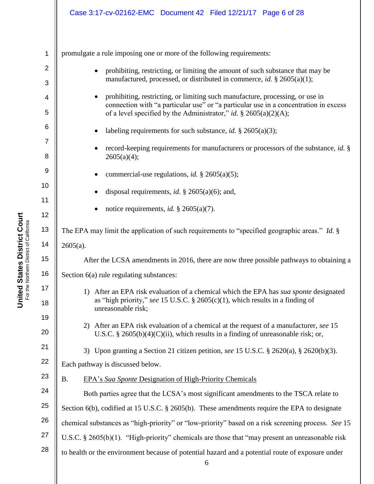# Case 3:17-cv-02162-EMC Document 42 Filed 12/21/17 Page 6 of 28

| <b>Distric'</b><br>5<br>Ţ<br>ate | t of Californ             |
|----------------------------------|---------------------------|
|                                  | For the Northern District |

| 1                   | promulgate a rule imposing one or more of the following requirements:                                                                                                                           |  |
|---------------------|-------------------------------------------------------------------------------------------------------------------------------------------------------------------------------------------------|--|
| $\overline{2}$<br>3 | prohibiting, restricting, or limiting the amount of such substance that may be<br>$\bullet$<br>manufactured, processed, or distributed in commerce, id. § 2605(a)(1);                           |  |
| 4                   | prohibiting, restricting, or limiting such manufacture, processing, or use in<br>$\bullet$<br>connection with "a particular use" or "a particular use in a concentration in excess              |  |
| 5<br>6              | of a level specified by the Administrator," id. $\S$ 2605(a)(2)(A);                                                                                                                             |  |
| $\overline{7}$      | labeling requirements for such substance, <i>id.</i> $\S$ 2605(a)(3);                                                                                                                           |  |
| 8                   | record-keeping requirements for manufacturers or processors of the substance, id. §<br>2605(a)(4);                                                                                              |  |
| $\boldsymbol{9}$    | commercial-use regulations, <i>id.</i> $\S$ 2605(a)(5);                                                                                                                                         |  |
| 10                  | disposal requirements, <i>id.</i> $\S$ 2605(a)(6); and,                                                                                                                                         |  |
| 11<br>12            | notice requirements, <i>id.</i> $\S$ 2605(a)(7).                                                                                                                                                |  |
| 13                  | The EPA may limit the application of such requirements to "specified geographic areas." Id. §                                                                                                   |  |
| 14                  | $2605(a)$ .                                                                                                                                                                                     |  |
| 15                  | After the LCSA amendments in 2016, there are now three possible pathways to obtaining a                                                                                                         |  |
| 16                  | Section 6(a) rule regulating substances:                                                                                                                                                        |  |
| 17<br>18            | After an EPA risk evaluation of a chemical which the EPA has sua sponte designated<br>1)<br>as "high priority," see 15 U.S.C. § 2605(c)(1), which results in a finding of<br>unreasonable risk; |  |
| 19                  | After an EPA risk evaluation of a chemical at the request of a manufacturer, see 15<br>2)                                                                                                       |  |
| 20                  | U.S.C. § 2605(b)(4)(C)(ii), which results in a finding of unreasonable risk; or,                                                                                                                |  |
| 21                  | Upon granting a Section 21 citizen petition, see 15 U.S.C. $\S$ 2620(a), $\S$ 2620(b)(3).<br>3)                                                                                                 |  |
| 22                  | Each pathway is discussed below.                                                                                                                                                                |  |
| 23                  | EPA's Sua Sponte Designation of High-Priority Chemicals<br><b>B.</b>                                                                                                                            |  |
| 24                  | Both parties agree that the LCSA's most significant amendments to the TSCA relate to                                                                                                            |  |
| 25                  | Section 6(b), codified at 15 U.S.C. § 2605(b). These amendments require the EPA to designate                                                                                                    |  |
| 26                  | chemical substances as "high-priority" or "low-priority" based on a risk screening process. See 15                                                                                              |  |
| 27                  | U.S.C. § 2605(b)(1). "High-priority" chemicals are those that "may present an unreasonable risk                                                                                                 |  |
| 28                  | to health or the environment because of potential hazard and a potential route of exposure under                                                                                                |  |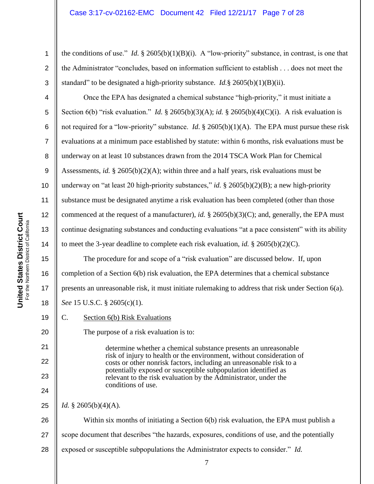the conditions of use." *Id.*  $\S$  2605(b)(1)(B)(i). A "low-priority" substance, in contrast, is one that the Administrator "concludes, based on information sufficient to establish . . . does not meet the standard" to be designated a high-priority substance. *Id.*§ 2605(b)(1)(B)(ii).

Once the EPA has designated a chemical substance "high-priority," it must initiate a Section 6(b) "risk evaluation." *Id.* § 2605(b)(3)(A); *id.* § 2605(b)(4)(C)(i). A risk evaluation is not required for a "low-priority" substance. *Id*. § 2605(b)(1)(A). The EPA must pursue these risk evaluations at a minimum pace established by statute: within 6 months, risk evaluations must be underway on at least 10 substances drawn from the 2014 TSCA Work Plan for Chemical Assessments, *id.* § 2605(b)(2)(A); within three and a half years, risk evaluations must be underway on "at least 20 high-priority substances," *id.* § 2605(b)(2)(B); a new high-priority substance must be designated anytime a risk evaluation has been completed (other than those commenced at the request of a manufacturer), *id.* § 2605(b)(3)(C); and, generally, the EPA must continue designating substances and conducting evaluations "at a pace consistent" with its ability to meet the 3-year deadline to complete each risk evaluation, *id.* § 2605(b)(2)(C).

15 16 17 18 The procedure for and scope of a "risk evaluation" are discussed below. If, upon completion of a Section 6(b) risk evaluation, the EPA determines that a chemical substance presents an unreasonable risk, it must initiate rulemaking to address that risk under Section 6(a). *See* 15 U.S.C. § 2605(c)(1).

19 C. Section 6(b) Risk Evaluations

The purpose of a risk evaluation is to:

determine whether a chemical substance presents an unreasonable risk of injury to health or the environment, without consideration of costs or other nonrisk factors, including an unreasonable risk to a potentially exposed or susceptible subpopulation identified as relevant to the risk evaluation by the Administrator, under the conditions of use.

25 *Id.* § 2605(b)(4)(A).

26 27 28 Within six months of initiating a Section 6(b) risk evaluation, the EPA must publish a scope document that describes "the hazards, exposures, conditions of use, and the potentially exposed or susceptible subpopulations the Administrator expects to consider." *Id.*

1

2

3

4

5

6

7

8

9

10

11

12

13

14

20

21

22

23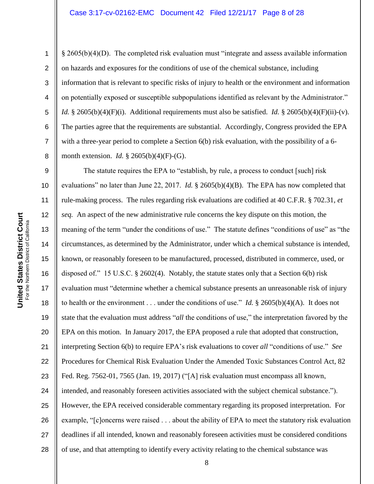#### Case 3:17-cv-02162-EMC Document 42 Filed 12/21/17 Page 8 of 28

§ 2605(b)(4)(D). The completed risk evaluation must "integrate and assess available information on hazards and exposures for the conditions of use of the chemical substance, including information that is relevant to specific risks of injury to health or the environment and information on potentially exposed or susceptible subpopulations identified as relevant by the Administrator." *Id.* § 2605(b)(4)(F)(i). Additional requirements must also be satisfied. *Id.* § 2605(b)(4)(F)(ii)-(v). The parties agree that the requirements are substantial. Accordingly, Congress provided the EPA with a three-year period to complete a Section 6(b) risk evaluation, with the possibility of a 6month extension. *Id.* § 2605(b)(4)(F)-(G).

9 10 11 12 13 14 15 16 17 18 19 20 21 22 23 24 25 26 27 28 The statute requires the EPA to "establish, by rule, a process to conduct [such] risk evaluations" no later than June 22, 2017. *Id.* § 2605(b)(4)(B). The EPA has now completed that rule-making process. The rules regarding risk evaluations are codified at 40 C.F.R. § 702.31, *et seq.* An aspect of the new administrative rule concerns the key dispute on this motion, the meaning of the term "under the conditions of use." The statute defines "conditions of use" as "the circumstances, as determined by the Administrator, under which a chemical substance is intended, known, or reasonably foreseen to be manufactured, processed, distributed in commerce, used, or disposed of." 15 U.S.C. § 2602(4). Notably, the statute states only that a Section 6(b) risk evaluation must "determine whether a chemical substance presents an unreasonable risk of injury to health or the environment . . . under the conditions of use." *Id.* § 2605(b)(4)(A). It does not state that the evaluation must address "*all* the conditions of use," the interpretation favored by the EPA on this motion. In January 2017, the EPA proposed a rule that adopted that construction, interpreting Section 6(b) to require EPA"s risk evaluations to cover *all* "conditions of use." *See* Procedures for Chemical Risk Evaluation Under the Amended Toxic Substances Control Act, 82 Fed. Reg. 7562-01, 7565 (Jan. 19, 2017) ("[A] risk evaluation must encompass all known, intended, and reasonably foreseen activities associated with the subject chemical substance."). However, the EPA received considerable commentary regarding its proposed interpretation. For example, "[c]oncerns were raised . . . about the ability of EPA to meet the statutory risk evaluation deadlines if all intended, known and reasonably foreseen activities must be considered conditions of use, and that attempting to identify every activity relating to the chemical substance was

8

1

2

3

4

5

6

7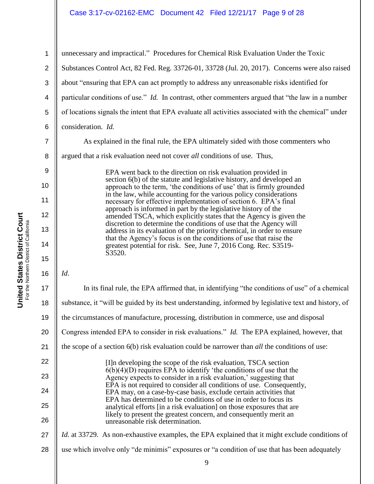### Case 3:17-cv-02162-EMC Document 42 Filed 12/21/17 Page 9 of 28

1 2 3 4 5 6 7 unnecessary and impractical." Procedures for Chemical Risk Evaluation Under the Toxic Substances Control Act, 82 Fed. Reg. 33726-01, 33728 (Jul. 20, 2017). Concerns were also raised about "ensuring that EPA can act promptly to address any unreasonable risks identified for particular conditions of use." *Id.* In contrast, other commenters argued that "the law in a number of locations signals the intent that EPA evaluate all activities associated with the chemical" under consideration. *Id.*

As explained in the final rule, the EPA ultimately sided with those commenters who argued that a risk evaluation need not cover *all* conditions of use. Thus,

> EPA went back to the direction on risk evaluation provided in section 6(b) of the statute and legislative history, and developed an approach to the term, 'the conditions of use' that is firmly grounded in the law, while accounting for the various policy considerations necessary for effective implementation of section 6. EPA's final approach is informed in part by the legislative history of the amended TSCA, which explicitly states that the Agency is given the discretion to determine the conditions of use that the Agency will address in its evaluation of the priority chemical, in order to ensure that the Agency"s focus is on the conditions of use that raise the greatest potential for risk. See, June 7, 2016 Cong. Rec. S3519- S3520.

*Id*.

8

9

10

11

12

13

14

15

| 17 | In its final rule, the EPA affirmed that, in identifying "the conditions of use" of a chemical                                                                                                                                                                                         |  |
|----|----------------------------------------------------------------------------------------------------------------------------------------------------------------------------------------------------------------------------------------------------------------------------------------|--|
| 18 | substance, it "will be guided by its best understanding, informed by legislative text and history, of                                                                                                                                                                                  |  |
| 19 | the circumstances of manufacture, processing, distribution in commerce, use and disposal                                                                                                                                                                                               |  |
| 20 | Congress intended EPA to consider in risk evaluations." Id. The EPA explained, however, that                                                                                                                                                                                           |  |
| 21 | the scope of a section $6(b)$ risk evaluation could be narrower than <i>all</i> the conditions of use:                                                                                                                                                                                 |  |
| 22 | [I] n developing the scope of the risk evaluation, TSCA section                                                                                                                                                                                                                        |  |
| 23 | $6(b)(4)(D)$ requires EPA to identify 'the conditions of use that the<br>Agency expects to consider in a risk evaluation,' suggesting that                                                                                                                                             |  |
| 24 | EPA is not required to consider all conditions of use. Consequently,<br>EPA may, on a case-by-case basis, exclude certain activities that<br>EPA has determined to be conditions of use in order to focus its<br>analytical efforts [in a risk evaluation] on those exposures that are |  |
| 25 |                                                                                                                                                                                                                                                                                        |  |
| 26 | likely to present the greatest concern, and consequently merit an<br>unreasonable risk determination.                                                                                                                                                                                  |  |
| 27 | <i>Id.</i> at 33729. As non-exhaustive examples, the EPA explained that it might exclude conditions of                                                                                                                                                                                 |  |
| 28 | use which involve only "de minimis" exposures or "a condition of use that has been adequately                                                                                                                                                                                          |  |
|    |                                                                                                                                                                                                                                                                                        |  |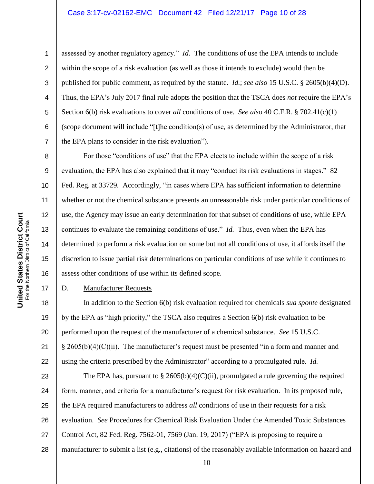assessed by another regulatory agency." *Id.* The conditions of use the EPA intends to include within the scope of a risk evaluation (as well as those it intends to exclude) would then be published for public comment, as required by the statute. *Id.*; *see also* 15 U.S.C. § 2605(b)(4)(D). Thus, the EPA"s July 2017 final rule adopts the position that the TSCA does *not* require the EPA"s Section 6(b) risk evaluations to cover *all* conditions of use. *See also* 40 C.F.R. § 702.41(c)(1) (scope document will include "[t]he condition(s) of use, as determined by the Administrator, that the EPA plans to consider in the risk evaluation").

For those "conditions of use" that the EPA elects to include within the scope of a risk evaluation, the EPA has also explained that it may "conduct its risk evaluations in stages." 82 Fed. Reg. at 33729*.* Accordingly, "in cases where EPA has sufficient information to determine whether or not the chemical substance presents an unreasonable risk under particular conditions of use, the Agency may issue an early determination for that subset of conditions of use, while EPA continues to evaluate the remaining conditions of use." *Id.* Thus, even when the EPA has determined to perform a risk evaluation on some but not all conditions of use, it affords itself the discretion to issue partial risk determinations on particular conditions of use while it continues to assess other conditions of use within its defined scope.

### D. Manufacturer Requests

18 19 20 21 22 In addition to the Section 6(b) risk evaluation required for chemicals *sua sponte* designated by the EPA as "high priority," the TSCA also requires a Section 6(b) risk evaluation to be performed upon the request of the manufacturer of a chemical substance. *See* 15 U.S.C.  $§$  2605(b)(4)(C)(ii). The manufacturer's request must be presented "in a form and manner and using the criteria prescribed by the Administrator" according to a promulgated rule. *Id.*

23 24 25 26 27 28 The EPA has, pursuant to  $\S 2605(b)(4)(C)(ii)$ , promulgated a rule governing the required form, manner, and criteria for a manufacturer's request for risk evaluation. In its proposed rule, the EPA required manufacturers to address *all* conditions of use in their requests for a risk evaluation. *See* Procedures for Chemical Risk Evaluation Under the Amended Toxic Substances Control Act, 82 Fed. Reg. 7562-01, 7569 (Jan. 19, 2017) ("EPA is proposing to require a manufacturer to submit a list (e.g., citations) of the reasonably available information on hazard and

1

2

3

4

5

6

7

8

9

10

11

12

13

14

15

16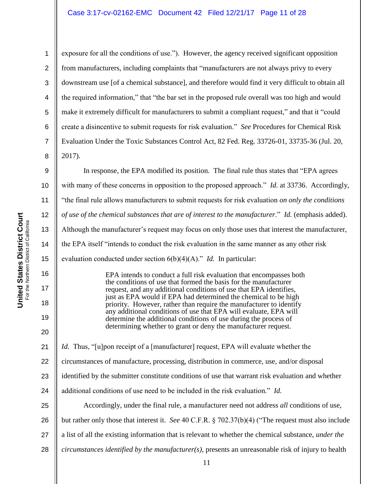2 3 4 5 6 7 8 exposure for all the conditions of use."). However, the agency received significant opposition from manufacturers, including complaints that "manufacturers are not always privy to every downstream use [of a chemical substance], and therefore would find it very difficult to obtain all the required information," that "the bar set in the proposed rule overall was too high and would make it extremely difficult for manufacturers to submit a compliant request," and that it "could create a disincentive to submit requests for risk evaluation." *See* Procedures for Chemical Risk Evaluation Under the Toxic Substances Control Act, 82 Fed. Reg. 33726-01, 33735-36 (Jul. 20, 2017).

In response, the EPA modified its position. The final rule thus states that "EPA agrees with many of these concerns in opposition to the proposed approach." *Id.* at 33736. Accordingly, "the final rule allows manufacturers to submit requests for risk evaluation *on only the conditions of use of the chemical substances that are of interest to the manufacturer*." *Id.* (emphasis added). Although the manufacturer"s request may focus on only those uses that interest the manufacturer, the EPA itself "intends to conduct the risk evaluation in the same manner as any other risk evaluation conducted under section 6(b)(4)(A)." *Id.* In particular:

EPA intends to conduct a full risk evaluation that encompasses both the conditions of use that formed the basis for the manufacturer request, and any additional conditions of use that EPA identifies, just as EPA would if EPA had determined the chemical to be high priority. However, rather than require the manufacturer to identify any additional conditions of use that EPA will evaluate, EPA will determine the additional conditions of use during the process of determining whether to grant or deny the manufacturer request.

21 *Id.* Thus, "[u]pon receipt of a [manufacturer] request, EPA will evaluate whether the

22 circumstances of manufacture, processing, distribution in commerce, use, and/or disposal

23 identified by the submitter constitute conditions of use that warrant risk evaluation and whether

24 additional conditions of use need to be included in the risk evaluation." *Id.* 

25 26 27 28 Accordingly, under the final rule, a manufacturer need not address *all* conditions of use, but rather only those that interest it. *See* 40 C.F.R. § 702.37(b)(4) ("The request must also include a list of all the existing information that is relevant to whether the chemical substance, *under the circumstances identified by the manufacturer(s)*, presents an unreasonable risk of injury to health

1

9

10

11

12

13

14

15

16

17

18

19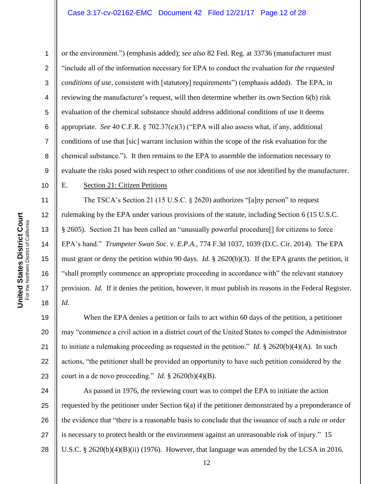#### Case 3:17-cv-02162-EMC Document 42 Filed 12/21/17 Page 12 of 28

**United States District Court**<br>For the Northern District of California **United States District Court** For the Northern District of California 10

11

12

13

14

15

16

17

18

1 2 3 4 5 6 7 8 9 or the environment.") (emphasis added); *see also* 82 Fed. Reg. at 33736 (manufacturer must "include all of the information necessary for EPA to conduct the evaluation for *the requested conditions of use*, consistent with [statutory] requirements") (emphasis added). The EPA, in reviewing the manufacturer's request, will then determine whether its own Section 6(b) risk evaluation of the chemical substance should address additional conditions of use it deems appropriate. *See* 40 C.F.R.  $\S$  702.37(e)(3) ("EPA will also assess what, if any, additional conditions of use that [sic] warrant inclusion within the scope of the risk evaluation for the chemical substance."). It then remains to the EPA to assemble the information necessary to evaluate the risks posed with respect to other conditions of use not identified by the manufacturer.

#### E. Section 21: Citizen Petitions

The TSCA's Section 21 (15 U.S.C. § 2620) authorizes "[a]ny person" to request rulemaking by the EPA under various provisions of the statute, including Section 6 (15 U.S.C. § 2605).Section 21 has been called an "unusually powerful procedure[] for citizens to force EPA"s hand." *Trumpeter Swan Soc. v. E.P.A.*, 774 F.3d 1037, 1039 (D.C. Cir. 2014). The EPA must grant or deny the petition within 90 days. *Id.* § 2620(b)(3). If the EPA grants the petition, it "shall promptly commence an appropriate proceeding in accordance with" the relevant statutory provision. *Id.* If it denies the petition, however, it must publish its reasons in the Federal Register. *Id.*

19 20 21 22 23 When the EPA denies a petition or fails to act within 60 days of the petition, a petitioner may "commence a civil action in a district court of the United States to compel the Administrator to initiate a rulemaking proceeding as requested in the petition." *Id.* § 2620(b)(4)(A). In such actions, "the petitioner shall be provided an opportunity to have such petition considered by the court in a de novo proceeding." *Id.* § 2620(b)(4)(B).

24 25 26 27 28 As passed in 1976, the reviewing court was to compel the EPA to initiate the action requested by the petitioner under Section 6(a) if the petitioner demonstrated by a preponderance of the evidence that "there is a reasonable basis to conclude that the issuance of such a rule or order is necessary to protect health or the environment against an unreasonable risk of injury." 15 U.S.C. § 2620(b)(4)(B)(ii) (1976). However, that language was amended by the LCSA in 2016.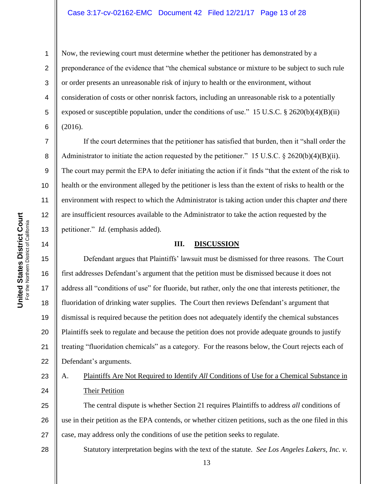#### Case 3:17-cv-02162-EMC Document 42 Filed 12/21/17 Page 13 of 28

1

2

3

4

5

6

7

8

9

10

11

12

13

14

Now, the reviewing court must determine whether the petitioner has demonstrated by a preponderance of the evidence that "the chemical substance or mixture to be subject to such rule or order presents an unreasonable risk of injury to health or the environment, without consideration of costs or other nonrisk factors, including an unreasonable risk to a potentially exposed or susceptible population, under the conditions of use." 15 U.S.C. § 2620(b)(4)(B)(ii) (2016).

If the court determines that the petitioner has satisfied that burden, then it "shall order the Administrator to initiate the action requested by the petitioner." 15 U.S.C.  $\S$  2620(b)(4)(B)(ii). The court may permit the EPA to defer initiating the action if it finds "that the extent of the risk to health or the environment alleged by the petitioner is less than the extent of risks to health or the environment with respect to which the Administrator is taking action under this chapter *and* there are insufficient resources available to the Administrator to take the action requested by the petitioner." *Id.* (emphasis added).

#### **III. DISCUSSION**

15 16 17 18 19 20 21 22 Defendant argues that Plaintiffs' lawsuit must be dismissed for three reasons. The Court first addresses Defendant"s argument that the petition must be dismissed because it does not address all "conditions of use" for fluoride, but rather, only the one that interests petitioner, the fluoridation of drinking water supplies. The Court then reviews Defendant's argument that dismissal is required because the petition does not adequately identify the chemical substances Plaintiffs seek to regulate and because the petition does not provide adequate grounds to justify treating "fluoridation chemicals" as a category. For the reasons below, the Court rejects each of Defendant's arguments.

#### 23 24 A. Plaintiffs Are Not Required to Identify *All* Conditions of Use for a Chemical Substance in Their Petition

25 26 27 The central dispute is whether Section 21 requires Plaintiffs to address *all* conditions of use in their petition as the EPA contends, or whether citizen petitions, such as the one filed in this case, may address only the conditions of use the petition seeks to regulate.

28

Statutory interpretation begins with the text of the statute. *See Los Angeles Lakers, Inc. v.*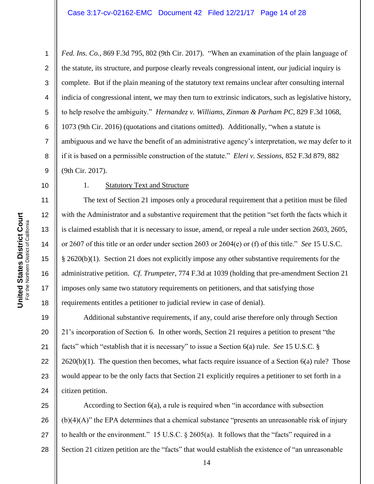*Fed. Ins. Co.*, 869 F.3d 795, 802 (9th Cir. 2017). "When an examination of the plain language of the statute, its structure, and purpose clearly reveals congressional intent, our judicial inquiry is complete. But if the plain meaning of the statutory text remains unclear after consulting internal indicia of congressional intent, we may then turn to extrinsic indicators, such as legislative history, to help resolve the ambiguity." *Hernandez v. Williams, Zinman & Parham PC*, 829 F.3d 1068, 1073 (9th Cir. 2016) (quotations and citations omitted). Additionally, "when a statute is ambiguous and we have the benefit of an administrative agency"s interpretation, we may defer to it if it is based on a permissible construction of the statute." *Eleri v. Sessions*, 852 F.3d 879, 882 (9th Cir. 2017).

10 11

12

13

14

15

16

17

18

1

2

3

4

5

6

7

8

9

## 1. Statutory Text and Structure

The text of Section 21 imposes only a procedural requirement that a petition must be filed with the Administrator and a substantive requirement that the petition "set forth the facts which it is claimed establish that it is necessary to issue, amend, or repeal a rule under section 2603, 2605, or 2607 of this title or an order under section 2603 or 2604(e) or (f) of this title." *See* 15 U.S.C. § 2620(b)(1). Section 21 does not explicitly impose any other substantive requirements for the administrative petition. *Cf. Trumpeter*, 774 F.3d at 1039 (holding that pre-amendment Section 21 imposes only same two statutory requirements on petitioners, and that satisfying those requirements entitles a petitioner to judicial review in case of denial).

19 20 21 22 23 24 Additional substantive requirements, if any, could arise therefore only through Section 21"s incorporation of Section 6. In other words, Section 21 requires a petition to present "the facts" which "establish that it is necessary" to issue a Section 6(a) rule. *See* 15 U.S.C. §  $2620(b)(1)$ . The question then becomes, what facts require issuance of a Section 6(a) rule? Those would appear to be the only facts that Section 21 explicitly requires a petitioner to set forth in a citizen petition.

25 26 27 28 According to Section 6(a), a rule is required when "in accordance with subsection (b)(4)(A)" the EPA determines that a chemical substance "presents an unreasonable risk of injury to health or the environment." 15 U.S.C. § 2605(a). It follows that the "facts" required in a Section 21 citizen petition are the "facts" that would establish the existence of "an unreasonable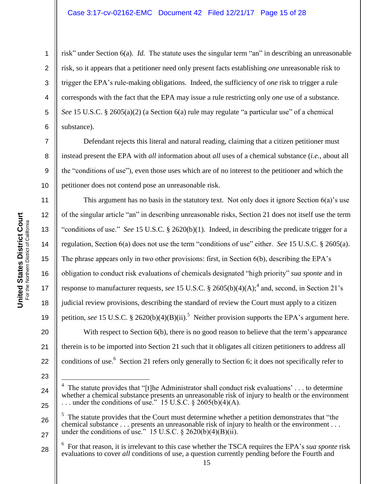### Case 3:17-cv-02162-EMC Document 42 Filed 12/21/17 Page 15 of 28

**United States District Court**

1

7

8

9

10

2 3 4 5 6 risk" under Section 6(a). *Id.* The statute uses the singular term "an" in describing an unreasonable risk, so it appears that a petitioner need only present facts establishing *one* unreasonable risk to trigger the EPA"s rule-making obligations. Indeed, the sufficiency of *one* risk to trigger a rule corresponds with the fact that the EPA may issue a rule restricting only *one* use of a substance. *See* 15 U.S.C. § 2605(a)(2) (a Section 6(a) rule may regulate "a particular use" of a chemical substance).

Defendant rejects this literal and natural reading, claiming that a citizen petitioner must instead present the EPA with *all* information about *all* uses of a chemical substance (*i.e.*, about all the "conditions of use"), even those uses which are of no interest to the petitioner and which the petitioner does not contend pose an unreasonable risk.

11 12 13 14 15 16 17 18 19 20 21 22 This argument has no basis in the statutory text. Not only does it ignore Section  $6(a)$ 's use of the singular article "an" in describing unreasonable risks, Section 21 does not itself use the term "conditions of use." *See* 15 U.S.C. § 2620(b)(1). Indeed, in describing the predicate trigger for a regulation, Section 6(a) does not use the term "conditions of use" either. *See* 15 U.S.C. § 2605(a). The phrase appears only in two other provisions: first, in Section 6(b), describing the EPA's obligation to conduct risk evaluations of chemicals designated "high priority" *sua sponte* and in response to manufacturer requests, *see* 15 U.S.C. § 2605(b)(4)(A);<sup>4</sup> and, second, in Section 21's judicial review provisions, describing the standard of review the Court must apply to a citizen petition, see 15 U.S.C. § 2620(b)(4)(B)(ii).<sup>5</sup> Neither provision supports the EPA's argument here. With respect to Section 6(b), there is no good reason to believe that the term's appearance therein is to be imported into Section 21 such that it obligates all citizen petitioners to address all conditions of use.<sup>6</sup> Section 21 refers only generally to Section 6; it does not specifically refer to

23

26

<sup>24</sup> 25  $\overline{a}$ 4 The statute provides that "[t]he Administrator shall conduct risk evaluations' . . . to determine whether a chemical substance presents an unreasonable risk of injury to health or the environment ... under the conditions of use." 15 U.S.C.  $\S 2605(b)(4)(A)$ .

<sup>5</sup> The statute provides that the Court must determine whether a petition demonstrates that "the chemical substance . . . presents an unreasonable risk of injury to health or the environment . . . under the conditions of use." 15 U.S.C.  $\frac{2620(b)(4)(B)(ii)}{2}$ .

<sup>28</sup> 6 For that reason, it is irrelevant to this case whether the TSCA requires the EPA"s *sua sponte* risk evaluations to cover *all* conditions of use, a question currently pending before the Fourth and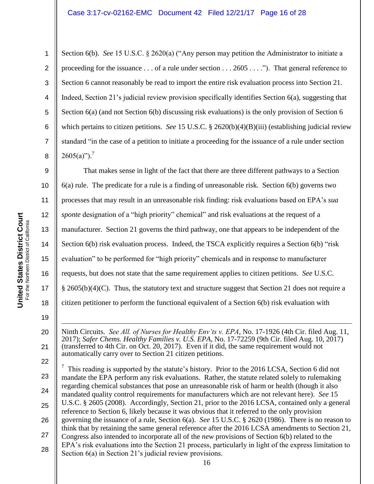Section 6(b). *See* 15 U.S.C. § 2620(a) ("Any person may petition the Administrator to initiate a proceeding for the issuance  $\dots$  of a rule under section  $\dots$  2605  $\dots$ ."). That general reference to Section 6 cannot reasonably be read to import the entire risk evaluation process into Section 21. Indeed, Section 21"s judicial review provision specifically identifies Section 6(a), suggesting that Section 6(a) (and not Section 6(b) discussing risk evaluations) is the only provision of Section 6 which pertains to citizen petitions. *See* 15 U.S.C. § 2620(b)(4)(B)(iii) (establishing judicial review standard "in the case of a petition to initiate a proceeding for the issuance of a rule under section  $2605(a)$ ").<sup>7</sup>

9 10 11 12 13 14 15 16 17 18 That makes sense in light of the fact that there are three different pathways to a Section 6(a) rule. The predicate for a rule is a finding of unreasonable risk. Section 6(b) governs two processes that may result in an unreasonable risk finding: risk evaluations based on EPA"s *sua sponte* designation of a "high priority" chemical" and risk evaluations at the request of a manufacturer. Section 21 governs the third pathway, one that appears to be independent of the Section 6(b) risk evaluation process. Indeed, the TSCA explicitly requires a Section 6(b) "risk evaluation" to be performed for "high priority" chemicals and in response to manufacturer requests, but does not state that the same requirement applies to citizen petitions. *See* U.S.C. § 2605(b)(4)(C). Thus, the statutory text and structure suggest that Section 21 does not require a citizen petitioner to perform the functional equivalent of a Section 6(b) risk evaluation with

1 Ninth Circuits. *See All. of Nurses for Healthy Env'ts v. EPA*, No. 17-1926 (4th Cir. filed Aug. 11, 2017); *Safer Chems. Healthy Families v. U.S. EPA*, No. 17-72259 (9th Cir. filed Aug. 10, 2017) (transferred to 4th Cir. on Oct. 20, 2017). Even if it did, the same requirement would not automatically carry over to Section 21 citizen petitions.

23 24 25 26 27 28 7 This reading is supported by the statute's history. Prior to the 2016 LCSA, Section 6 did not mandate the EPA perform any risk evaluations. Rather, the statute related solely to rulemaking regarding chemical substances that pose an unreasonable risk of harm or health (though it also mandated quality control requirements for manufacturers which are not relevant here). *See* 15 U.S.C. § 2605 (2008). Accordingly, Section 21, prior to the 2016 LCSA, contained only a general reference to Section 6, likely because it was obvious that it referred to the only provision governing the issuance of a rule, Section 6(a). *See* 15 U.S.C. § 2620 (1986). There is no reason to think that by retaining the same general reference after the 2016 LCSA amendments to Section 21, Congress also intended to incorporate all of the *new* provisions of Section 6(b) related to the EPA's risk evaluations into the Section 21 process, particularly in light of the express limitation to Section 6(a) in Section 21's judicial review provisions.

19

20

21

22

1

2

3

4

5

6

7

8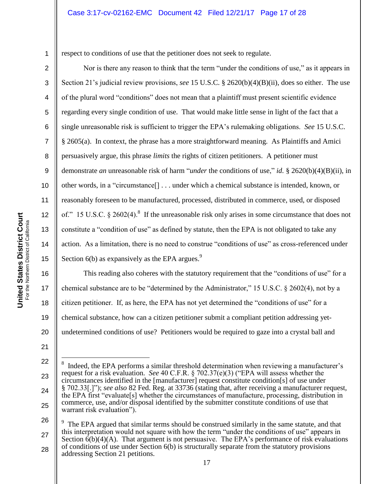respect to conditions of use that the petitioner does not seek to regulate.

Nor is there any reason to think that the term "under the conditions of use," as it appears in Section 21"s judicial review provisions, *see* 15 U.S.C. § 2620(b)(4)(B)(ii), does so either. The use of the plural word "conditions" does not mean that a plaintiff must present scientific evidence regarding every single condition of use. That would make little sense in light of the fact that a single unreasonable risk is sufficient to trigger the EPA"s rulemaking obligations. *See* 15 U.S.C. § 2605(a). In context, the phrase has a more straightforward meaning. As Plaintiffs and Amici persuasively argue, this phrase *limits* the rights of citizen petitioners. A petitioner must demonstrate *an* unreasonable risk of harm "*under* the conditions of use," *id.* § 2620(b)(4)(B)(ii), in other words, in a "circumstance[] . . . under which a chemical substance is intended, known, or reasonably foreseen to be manufactured, processed, distributed in commerce, used, or disposed of." 15 U.S.C.  $\S 2602(4)$ .<sup>8</sup> If the unreasonable risk only arises in some circumstance that does not constitute a "condition of use" as defined by statute, then the EPA is not obligated to take any action. As a limitation, there is no need to construe "conditions of use" as cross-referenced under Section  $6(b)$  as expansively as the EPA argues.<sup>9</sup>

16 17 18 19 20 This reading also coheres with the statutory requirement that the "conditions of use" for a chemical substance are to be "determined by the Administrator," 15 U.S.C. § 2602(4), not by a citizen petitioner. If, as here, the EPA has not yet determined the "conditions of use" for a chemical substance, how can a citizen petitioner submit a compliant petition addressing yetundetermined conditions of use? Petitioners would be required to gaze into a crystal ball and

26 27 28  $\overline{a}$ 9 The EPA argued that similar terms should be construed similarly in the same statute, and that this interpretation would not square with how the term "under the conditions of use" appears in Section  $\vec{6}$ (b)(4)(A). That argument is not persuasive. The EPA's performance of risk evaluations of conditions of use under Section 6(b) is structurally separate from the statutory provisions addressing Section 21 petitions.

1

2

3

4

5

6

7

8

9

10

11

12

13

14

15

<sup>22</sup> 23 24 25  $\overline{a}$ 8 Indeed, the EPA performs a similar threshold determination when reviewing a manufacturer"s request for a risk evaluation. *See* 40 C.F.R. § 702.37(e)(3) ("EPA will assess whether the circumstances identified in the [manufacturer] request constitute condition[s] of use under § 702.33[.]"); *see also* 82 Fed. Reg. at 33736 (stating that, after receiving a manufacturer request, the EPA first "evaluate[s] whether the circumstances of manufacture, processing, distribution in commerce, use, and/or disposal identified by the submitter constitute conditions of use that warrant risk evaluation").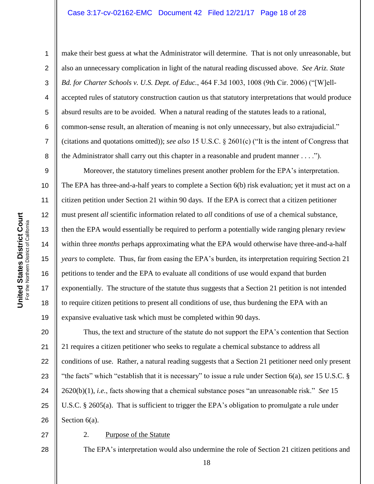#### Case 3:17-cv-02162-EMC Document 42 Filed 12/21/17 Page 18 of 28

1

2

3

4

5

6

7

8

make their best guess at what the Administrator will determine. That is not only unreasonable, but also an unnecessary complication in light of the natural reading discussed above. *See Ariz. State Bd. for Charter Schools v. U.S. Dept. of Educ.*, 464 F.3d 1003, 1008 (9th Cir. 2006) ("[W]ellaccepted rules of statutory construction caution us that statutory interpretations that would produce absurd results are to be avoided. When a natural reading of the statutes leads to a rational, common-sense result, an alteration of meaning is not only unnecessary, but also extrajudicial." (citations and quotations omitted)); *see also* 15 U.S.C. § 2601(c) ("It is the intent of Congress that the Administrator shall carry out this chapter in a reasonable and prudent manner . . . .").

9 10 11 12 13 14 15 16 17 18 19 Moreover, the statutory timelines present another problem for the EPA"s interpretation. The EPA has three-and-a-half years to complete a Section 6(b) risk evaluation; yet it must act on a citizen petition under Section 21 within 90 days. If the EPA is correct that a citizen petitioner must present *all* scientific information related to *all* conditions of use of a chemical substance, then the EPA would essentially be required to perform a potentially wide ranging plenary review within three *months* perhaps approximating what the EPA would otherwise have three-and-a-half *years* to complete. Thus, far from easing the EPA's burden, its interpretation requiring Section 21 petitions to tender and the EPA to evaluate all conditions of use would expand that burden exponentially. The structure of the statute thus suggests that a Section 21 petition is not intended to require citizen petitions to present all conditions of use, thus burdening the EPA with an expansive evaluative task which must be completed within 90 days.

20 21 22 23 24 25 26 Thus, the text and structure of the statute do not support the EPA"s contention that Section 21 requires a citizen petitioner who seeks to regulate a chemical substance to address all conditions of use. Rather, a natural reading suggests that a Section 21 petitioner need only present "the facts" which "establish that it is necessary" to issue a rule under Section 6(a), *see* 15 U.S.C. § 2620(b)(1), *i.e.*, facts showing that a chemical substance poses "an unreasonable risk." *See* 15 U.S.C. § 2605(a). That is sufficient to trigger the EPA's obligation to promulgate a rule under Section  $6(a)$ .

### 28

27

### 2. Purpose of the Statute

The EPA's interpretation would also undermine the role of Section 21 citizen petitions and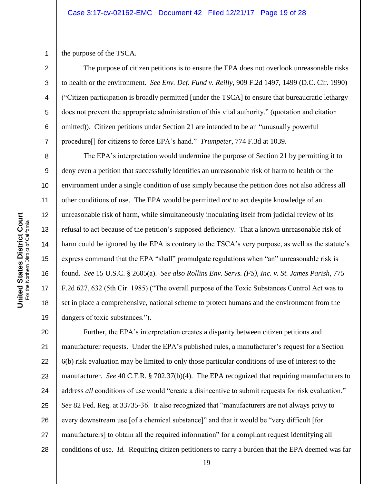1 the purpose of the TSCA.

2

3

4

5

6

7

8

9

10

11

12

13

14

15

16

17

18

19

The purpose of citizen petitions is to ensure the EPA does not overlook unreasonable risks to health or the environment. *See Env. Def. Fund v. Reilly*, 909 F.2d 1497, 1499 (D.C. Cir. 1990) ("Citizen participation is broadly permitted [under the TSCA] to ensure that bureaucratic lethargy does not prevent the appropriate administration of this vital authority." (quotation and citation omitted)). Citizen petitions under Section 21 are intended to be an "unusually powerful procedure[] for citizens to force EPA"s hand." *Trumpeter*, 774 F.3d at 1039.

The EPA"s interpretation would undermine the purpose of Section 21 by permitting it to deny even a petition that successfully identifies an unreasonable risk of harm to health or the environment under a single condition of use simply because the petition does not also address all other conditions of use. The EPA would be permitted *not* to act despite knowledge of an unreasonable risk of harm, while simultaneously inoculating itself from judicial review of its refusal to act because of the petition"s supposed deficiency. That a known unreasonable risk of harm could be ignored by the EPA is contrary to the TSCA's very purpose, as well as the statute's express command that the EPA "shall" promulgate regulations when "an" unreasonable risk is found. *See* 15 U.S.C. § 2605(a). *See also Rollins Env. Servs. (FS), Inc. v. St. James Parish*, 775 F.2d 627, 632 (5th Cir. 1985) ("The overall purpose of the Toxic Substances Control Act was to set in place a comprehensive, national scheme to protect humans and the environment from the dangers of toxic substances.").

20 21 22 23 24 25 26 27 28 Further, the EPA's interpretation creates a disparity between citizen petitions and manufacturer requests. Under the EPA's published rules, a manufacturer's request for a Section 6(b) risk evaluation may be limited to only those particular conditions of use of interest to the manufacturer. *See* 40 C.F.R. § 702.37(b)(4). The EPA recognized that requiring manufacturers to address *all* conditions of use would "create a disincentive to submit requests for risk evaluation." *See* 82 Fed. Reg. at 33735-36. It also recognized that "manufacturers are not always privy to every downstream use [of a chemical substance]" and that it would be "very difficult [for manufacturers] to obtain all the required information" for a compliant request identifying all conditions of use. *Id.* Requiring citizen petitioners to carry a burden that the EPA deemed was far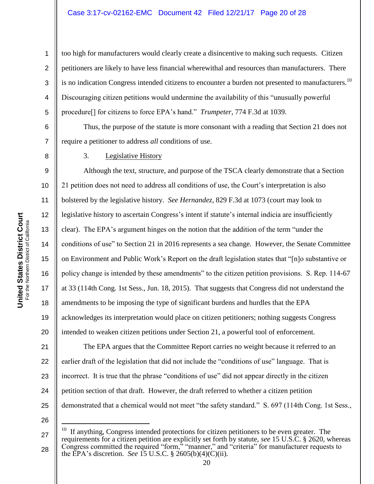too high for manufacturers would clearly create a disincentive to making such requests. Citizen petitioners are likely to have less financial wherewithal and resources than manufacturers. There is no indication Congress intended citizens to encounter a burden not presented to manufacturers.<sup>10</sup> Discouraging citizen petitions would undermine the availability of this "unusually powerful procedure[] for citizens to force EPA"s hand." *Trumpeter*, 774 F.3d at 1039.

Thus, the purpose of the statute is more consonant with a reading that Section 21 does not require a petitioner to address *all* conditions of use.

3. Legislative History

9 10 11 12 13 14 15 16 17 18 19 20 Although the text, structure, and purpose of the TSCA clearly demonstrate that a Section 21 petition does not need to address all conditions of use, the Court"s interpretation is also bolstered by the legislative history. *See Hernandez*, 829 F.3d at 1073 (court may look to legislative history to ascertain Congress's intent if statute's internal indicia are insufficiently clear). The EPA"s argument hinges on the notion that the addition of the term "under the conditions of use" to Section 21 in 2016 represents a sea change. However, the Senate Committee on Environment and Public Work"s Report on the draft legislation states that "[n]o substantive or policy change is intended by these amendments" to the citizen petition provisions. S. Rep. 114-67 at 33 (114th Cong. 1st Sess., Jun. 18, 2015). That suggests that Congress did not understand the amendments to be imposing the type of significant burdens and hurdles that the EPA acknowledges its interpretation would place on citizen petitioners; nothing suggests Congress intended to weaken citizen petitions under Section 21, a powerful tool of enforcement.

21 22 23 24 25 The EPA argues that the Committee Report carries no weight because it referred to an earlier draft of the legislation that did not include the "conditions of use" language. That is incorrect. It is true that the phrase "conditions of use" did not appear directly in the citizen petition section of that draft. However, the draft referred to whether a citizen petition demonstrated that a chemical would not meet "the safety standard." S. 697 (114th Cong. 1st Sess.,

26

 $\overline{a}$ 

1

2

3

4

5

6

7

<sup>27</sup> 28 10 If anything, Congress intended protections for citizen petitioners to be even greater. The requirements for a citizen petition are explicitly set forth by statute, *see* 15 U.S.C. § 2620, whereas Congress committed the required "form," "manner," and "criteria" for manufacturer requests to the EPA"s discretion. *See* 15 U.S.C. § 2605(b)(4)(C)(ii).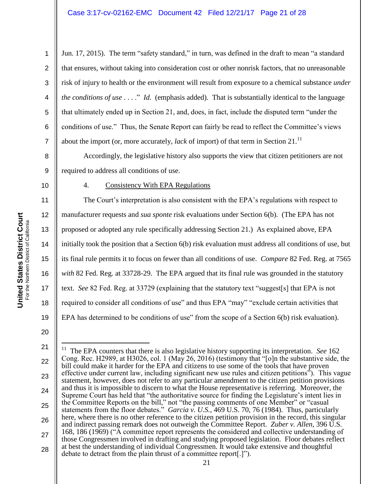Jun. 17, 2015). The term "safety standard," in turn, was defined in the draft to mean "a standard that ensures, without taking into consideration cost or other nonrisk factors, that no unreasonable risk of injury to health or the environment will result from exposure to a chemical substance *under the conditions of use* . . . ." *Id*. (emphasis added). That is substantially identical to the language that ultimately ended up in Section 21, and, does, in fact, include the disputed term "under the conditions of use." Thus, the Senate Report can fairly be read to reflect the Committee"s views about the import (or, more accurately, *lack* of import) of that term in Section 21.<sup>11</sup>

Accordingly, the legislative history also supports the view that citizen petitioners are not required to address all conditions of use.

10

1

2

3

4

5

6

7

8

9

### 4. Consistency With EPA Regulations

11 12 13 14 15 16 17 18 19 The Court's interpretation is also consistent with the EPA's regulations with respect to manufacturer requests and *sua sponte* risk evaluations under Section 6(b). (The EPA has not proposed or adopted any rule specifically addressing Section 21.) As explained above, EPA initially took the position that a Section 6(b) risk evaluation must address all conditions of use, but its final rule permits it to focus on fewer than all conditions of use. *Compare* 82 Fed. Reg. at 7565 *with* 82 Fed. Reg. at 33728-29. The EPA argued that its final rule was grounded in the statutory text. *See* 82 Fed. Reg. at 33729 (explaining that the statutory text "suggest[s] that EPA is not required to consider all conditions of use" and thus EPA "may" "exclude certain activities that EPA has determined to be conditions of use" from the scope of a Section 6(b) risk evaluation).

<sup>21</sup> 22 23 24 25 26 27 28  $\overline{a}$ 11 The EPA counters that there is also legislative history supporting its interpretation. *See* 162 Cong. Rec. H2989, at H3026, col. 1 (May 26, 2016) (testimony that "[o]n the substantive side, the bill could make it harder for the EPA and citizens to use some of the tools that have proven effective under current law, including significant new use rules and citizen petitions"). This vague statement, however, does not refer to any particular amendment to the citizen petition provisions and thus it is impossible to discern to what the House representative is referring. Moreover, the Supreme Court has held that "the authoritative source for finding the Legislature's intent lies in the Committee Reports on the bill," not "the passing comments of one Member" or "casual statements from the floor debates." *Garcia v. U.S.*, 469 U.S. 70, 76 (1984). Thus, particularly here, where there is no other reference to the citizen petition provision in the record, this singular and indirect passing remark does not outweigh the Committee Report. *Zuber v. Allen*, 396 U.S. 168, 186 (1969) ("A committee report represents the considered and collective understanding of those Congressmen involved in drafting and studying proposed legislation. Floor debates reflect at best the understanding of individual Congressmen. It would take extensive and thoughtful debate to detract from the plain thrust of a committee report[.]").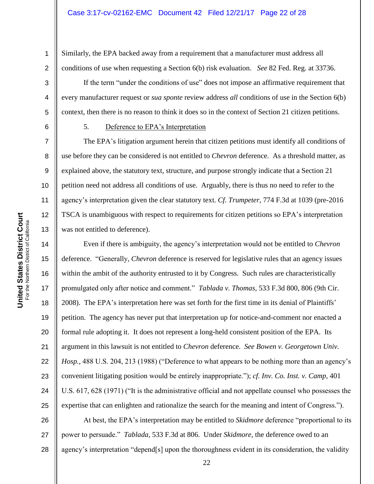Similarly, the EPA backed away from a requirement that a manufacturer must address all conditions of use when requesting a Section 6(b) risk evaluation. *See* 82 Fed. Reg. at 33736.

If the term "under the conditions of use" does not impose an affirmative requirement that every manufacturer request or *sua sponte* review address *all* conditions of use in the Section 6(b) context, then there is no reason to think it does so in the context of Section 21 citizen petitions.

5. Deference to EPA"s Interpretation

The EPA's litigation argument herein that citizen petitions must identify all conditions of use before they can be considered is not entitled to *Chevron* deference. As a threshold matter, as explained above, the statutory text, structure, and purpose strongly indicate that a Section 21 petition need not address all conditions of use. Arguably, there is thus no need to refer to the agency"s interpretation given the clear statutory text. *Cf. Trumpeter*, 774 F.3d at 1039 (pre-2016 TSCA is unambiguous with respect to requirements for citizen petitions so EPA's interpretation was not entitled to deference).

Even if there is ambiguity, the agency"s interpretation would not be entitled to *Chevron* deference. "Generally, *Chevron* deference is reserved for legislative rules that an agency issues within the ambit of the authority entrusted to it by Congress. Such rules are characteristically promulgated only after notice and comment." *Tablada v. Thomas*, 533 F.3d 800, 806 (9th Cir. 2008). The EPA's interpretation here was set forth for the first time in its denial of Plaintiffs' petition. The agency has never put that interpretation up for notice-and-comment nor enacted a formal rule adopting it. It does not represent a long-held consistent position of the EPA. Its argument in this lawsuit is not entitled to *Chevron* deference. *See Bowen v. Georgetown Univ. Hosp.*, 488 U.S. 204, 213 (1988) ("Deference to what appears to be nothing more than an agency's convenient litigating position would be entirely inappropriate."); *cf. Inv. Co. Inst. v. Camp,* 401 U.S. 617, 628 (1971) ("It is the administrative official and not appellate counsel who possesses the expertise that can enlighten and rationalize the search for the meaning and intent of Congress.").

26 27 28 At best, the EPA"s interpretation may be entitled to *Skidmore* deference "proportional to its power to persuade." *Tablada*, 533 F.3d at 806. Under *Skidmore*, the deference owed to an agency's interpretation "depend[s] upon the thoroughness evident in its consideration, the validity

1

2

3

4

5

6

7

8

9

10

11

12

13

14

15

16

17

18

19

20

21

22

23

24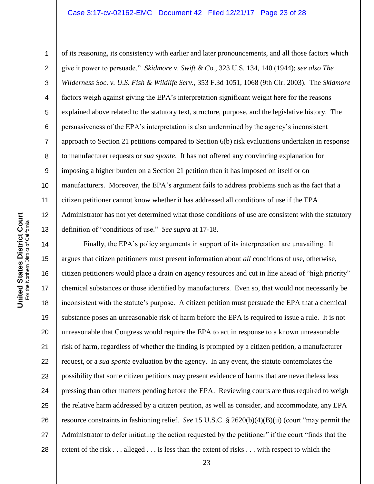#### Case 3:17-cv-02162-EMC Document 42 Filed 12/21/17 Page 23 of 28

**United States District Court**<br>For the Northern District of California **United States District Court** For the Northern District of California

11

1

2

3 4 5 6 7 8 9 10 12 13 of its reasoning, its consistency with earlier and later pronouncements, and all those factors which give it power to persuade." *Skidmore v. Swift & Co.*, 323 U.S. 134, 140 (1944); *see also The Wilderness Soc. v. U.S. Fish & Wildlife Serv.*, 353 F.3d 1051, 1068 (9th Cir. 2003). The *Skidmore* factors weigh against giving the EPA's interpretation significant weight here for the reasons explained above related to the statutory text, structure, purpose, and the legislative history. The persuasiveness of the EPA"s interpretation is also undermined by the agency"s inconsistent approach to Section 21 petitions compared to Section 6(b) risk evaluations undertaken in response to manufacturer requests or *sua sponte*. It has not offered any convincing explanation for imposing a higher burden on a Section 21 petition than it has imposed on itself or on manufacturers. Moreover, the EPA's argument fails to address problems such as the fact that a citizen petitioner cannot know whether it has addressed all conditions of use if the EPA Administrator has not yet determined what those conditions of use are consistent with the statutory definition of "conditions of use." *See supra* at 17-18.

14 15 16 17 18 19 20 21 22 23 24 25 26 27 28 Finally, the EPA's policy arguments in support of its interpretation are unavailing. It argues that citizen petitioners must present information about *all* conditions of use, otherwise, citizen petitioners would place a drain on agency resources and cut in line ahead of "high priority" chemical substances or those identified by manufacturers. Even so, that would not necessarily be inconsistent with the statute"s purpose. A citizen petition must persuade the EPA that a chemical substance poses an unreasonable risk of harm before the EPA is required to issue a rule. It is not unreasonable that Congress would require the EPA to act in response to a known unreasonable risk of harm, regardless of whether the finding is prompted by a citizen petition, a manufacturer request, or a *sua sponte* evaluation by the agency. In any event, the statute contemplates the possibility that some citizen petitions may present evidence of harms that are nevertheless less pressing than other matters pending before the EPA. Reviewing courts are thus required to weigh the relative harm addressed by a citizen petition, as well as consider, and accommodate, any EPA resource constraints in fashioning relief. *See* 15 U.S.C. § 2620(b)(4)(B)(ii) (court "may permit the Administrator to defer initiating the action requested by the petitioner" if the court "finds that the extent of the risk . . . alleged . . . is less than the extent of risks . . . with respect to which the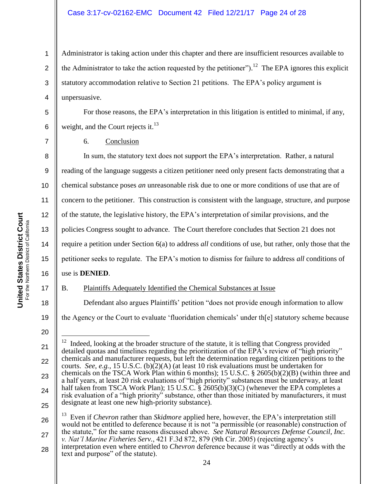### Case 3:17-cv-02162-EMC Document 42 Filed 12/21/17 Page 24 of 28

Administrator is taking action under this chapter and there are insufficient resources available to the Administrator to take the action requested by the petitioner").<sup>12</sup> The EPA ignores this explicit statutory accommodation relative to Section 21 petitions. The EPA"s policy argument is unpersuasive.

For those reasons, the EPA's interpretation in this litigation is entitled to minimal, if any, weight, and the Court rejects it. $^{13}$ 

6. Conclusion

10 12 13 14 15 In sum, the statutory text does not support the EPA's interpretation. Rather, a natural reading of the language suggests a citizen petitioner need only present facts demonstrating that a chemical substance poses *an* unreasonable risk due to one or more conditions of use that are of concern to the petitioner. This construction is consistent with the language, structure, and purpose of the statute, the legislative history, the EPA"s interpretation of similar provisions, and the policies Congress sought to advance. The Court therefore concludes that Section 21 does not require a petition under Section 6(a) to address *all* conditions of use, but rather, only those that the petitioner seeks to regulate. The EPA"s motion to dismiss for failure to address *all* conditions of use is **DENIED**.

16

B. Plaintiffs Adequately Identified the Chemical Substances at Issue

Defendant also argues Plaintiffs' petition "does not provide enough information to allow

19 the Agency or the Court to evaluate "fluoridation chemicals" under th[e] statutory scheme because

26

27

17

18

1

2

3

4

5

6

7

8

9

11

<sup>13</sup> Even if *Chevron* rather than *Skidmore* applied here, however, the EPA's interpretation still would not be entitled to deference because it is not "a permissible (or reasonable) construction of the statute," for the same reasons discussed above. *See Natural Resources Defense Council, Inc. v. Nat'l Marine Fisheries Serv.*, 421 F.3d 872, 879 (9th Cir. 2005) (rejecting agency"s

28 interpretation even where entitled to *Chevron* deference because it was "directly at odds with the text and purpose" of the statute).

<sup>20</sup>

<sup>21</sup> 22 23 24 25  $\overline{a}$ 12 Indeed, looking at the broader structure of the statute, it is telling that Congress provided detailed quotas and timelines regarding the prioritization of the EPA's review of "high priority" chemicals and manufacturer requests, but left the determination regarding citizen petitions to the courts. *See*, *e.g.*, 15 U.S.C. (b)(2)(A) (at least 10 risk evaluations must be undertaken for chemicals on the TSCA Work Plan within 6 months); 15 U.S.C. § 2605(b)(2)(B) (within three and a half years, at least 20 risk evaluations of "high priority" substances must be underway, at least half taken from TSCA Work Plan); 15 U.S.C. § 2605(b)(3)(C) (whenever the EPA completes a risk evaluation of a "high priority" substance, other than those initiated by manufacturers, it must designate at least one new high-priority substance).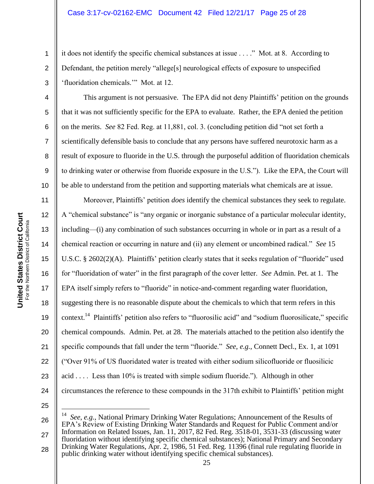it does not identify the specific chemical substances at issue . . . ." Mot. at 8. According to Defendant, the petition merely "allege[s] neurological effects of exposure to unspecified "fluoridation chemicals."" Mot. at 12.

This argument is not persuasive. The EPA did not deny Plaintiffs' petition on the grounds that it was not sufficiently specific for the EPA to evaluate. Rather, the EPA denied the petition on the merits. *See* 82 Fed. Reg. at 11,881, col. 3. (concluding petition did "not set forth a scientifically defensible basis to conclude that any persons have suffered neurotoxic harm as a result of exposure to fluoride in the U.S. through the purposeful addition of fluoridation chemicals to drinking water or otherwise from fluoride exposure in the U.S."). Like the EPA, the Court will be able to understand from the petition and supporting materials what chemicals are at issue.

Moreover, Plaintiffs" petition *does* identify the chemical substances they seek to regulate. A "chemical substance" is "any organic or inorganic substance of a particular molecular identity, including—(i) any combination of such substances occurring in whole or in part as a result of a chemical reaction or occurring in nature and (ii) any element or uncombined radical." *See* 15 U.S.C. § 2602(2)(A). Plaintiffs" petition clearly states that it seeks regulation of "fluoride" used for "fluoridation of water" in the first paragraph of the cover letter. *See* Admin. Pet. at 1. The EPA itself simply refers to "fluoride" in notice-and-comment regarding water fluoridation, suggesting there is no reasonable dispute about the chemicals to which that term refers in this context.<sup>14</sup> Plaintiffs' petition also refers to "fluorosilic acid" and "sodium fluorosilicate," specific chemical compounds. Admin. Pet. at 28. The materials attached to the petition also identify the specific compounds that fall under the term "fluoride." *See*, *e.g.*, Connett Decl., Ex. 1, at 1091 ("Over 91% of US fluoridated water is treated with either sodium silicofluoride or fluosilicic acid . . . . Less than 10% is treated with simple sodium fluoride."). Although in other circumstances the reference to these compounds in the 317th exhibit to Plaintiffs" petition might

25

 $\overline{a}$ 

26 27 28 14 *See*, *e.g.*, National Primary Drinking Water Regulations; Announcement of the Results of EPA"s Review of Existing Drinking Water Standards and Request for Public Comment and/or Information on Related Issues, Jan. 11, 2017, 82 Fed. Reg. 3518-01, 3531-33 (discussing water fluoridation without identifying specific chemical substances); National Primary and Secondary Drinking Water Regulations, Apr. 2, 1986, 51 Fed. Reg. 11396 (final rule regulating fluoride in public drinking water without identifying specific chemical substances).

1

2

3

4

5

6

7

8

9

10

11

12

13

14

15

16

17

18

19

20

21

22

23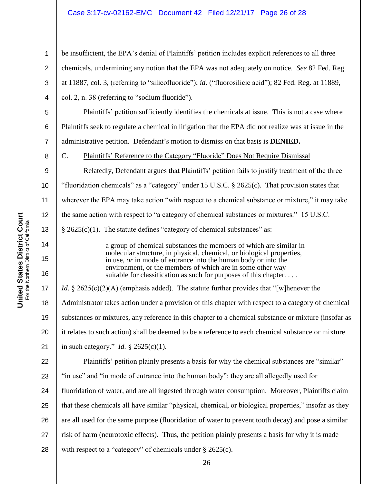### Case 3:17-cv-02162-EMC Document 42 Filed 12/21/17 Page 26 of 28

be insufficient, the EPA's denial of Plaintiffs' petition includes explicit references to all three chemicals, undermining any notion that the EPA was not adequately on notice. *See* 82 Fed. Reg. at 11887, col. 3, (referring to "silicofluoride"); *id.* ("fluorosilicic acid"); 82 Fed. Reg. at 11889, col. 2, n. 38 (referring to "sodium fluoride").

Plaintiffs' petition sufficiently identifies the chemicals at issue. This is not a case where Plaintiffs seek to regulate a chemical in litigation that the EPA did not realize was at issue in the administrative petition. Defendant"s motion to dismiss on that basis is **DENIED.**

C. Plaintiffs" Reference to the Category "Fluoride" Does Not Require Dismissal

Relatedly, Defendant argues that Plaintiffs" petition fails to justify treatment of the three "fluoridation chemicals" as a "category" under 15 U.S.C. § 2625(c). That provision states that wherever the EPA may take action "with respect to a chemical substance or mixture," it may take the same action with respect to "a category of chemical substances or mixtures." 15 U.S.C.  $§$  2625(c)(1). The statute defines "category of chemical substances" as:

> a group of chemical substances the members of which are similar in molecular structure, in physical, chemical, or biological properties, in use, *or* in mode of entrance into the human body or into the environment, or the members of which are in some other way suitable for classification as such for purposes of this chapter. . . . .

17 18 19 20 21 *Id.* § 2625(c)(2)(A) (emphasis added). The statute further provides that "[w]henever the Administrator takes action under a provision of this chapter with respect to a category of chemical substances or mixtures, any reference in this chapter to a chemical substance or mixture (insofar as it relates to such action) shall be deemed to be a reference to each chemical substance or mixture in such category." *Id.* § 2625(c)(1).

22 23 24 25 26 27 28 Plaintiffs' petition plainly presents a basis for why the chemical substances are "similar" "in use" and "in mode of entrance into the human body": they are all allegedly used for fluoridation of water, and are all ingested through water consumption. Moreover, Plaintiffs claim that these chemicals all have similar "physical, chemical, or biological properties," insofar as they are all used for the same purpose (fluoridation of water to prevent tooth decay) and pose a similar risk of harm (neurotoxic effects). Thus, the petition plainly presents a basis for why it is made with respect to a "category" of chemicals under § 2625(c).

1

2

3

4

5

6

7

8

9

10

11

12

13

14

15

16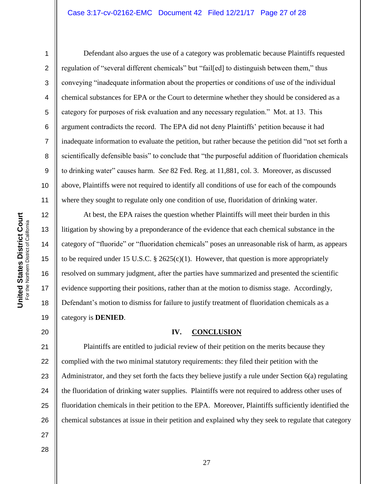#### Case 3:17-cv-02162-EMC Document 42 Filed 12/21/17 Page 27 of 28

1

2

3

4

5

6

7

8

9

10

11

Defendant also argues the use of a category was problematic because Plaintiffs requested regulation of "several different chemicals" but "fail[ed] to distinguish between them," thus conveying "inadequate information about the properties or conditions of use of the individual chemical substances for EPA or the Court to determine whether they should be considered as a category for purposes of risk evaluation and any necessary regulation." Mot. at 13. This argument contradicts the record. The EPA did not deny Plaintiffs" petition because it had inadequate information to evaluate the petition, but rather because the petition did "not set forth a scientifically defensible basis" to conclude that "the purposeful addition of fluoridation chemicals to drinking water" causes harm. *See* 82 Fed. Reg. at 11,881, col. 3. Moreover, as discussed above, Plaintiffs were not required to identify all conditions of use for each of the compounds where they sought to regulate only one condition of use, fluoridation of drinking water.

12 13 14 15 16 17 18 19 At best, the EPA raises the question whether Plaintiffs will meet their burden in this litigation by showing by a preponderance of the evidence that each chemical substance in the category of "fluoride" or "fluoridation chemicals" poses an unreasonable risk of harm, as appears to be required under 15 U.S.C.  $\S$  2625(c)(1). However, that question is more appropriately resolved on summary judgment, after the parties have summarized and presented the scientific evidence supporting their positions, rather than at the motion to dismiss stage. Accordingly, Defendant's motion to dismiss for failure to justify treatment of fluoridation chemicals as a category is **DENIED**.

#### **IV. CONCLUSION**

21 22 23 24 25 26 Plaintiffs are entitled to judicial review of their petition on the merits because they complied with the two minimal statutory requirements: they filed their petition with the Administrator, and they set forth the facts they believe justify a rule under Section 6(a) regulating the fluoridation of drinking water supplies. Plaintiffs were not required to address other uses of fluoridation chemicals in their petition to the EPA. Moreover, Plaintiffs sufficiently identified the chemical substances at issue in their petition and explained why they seek to regulate that category

27 28